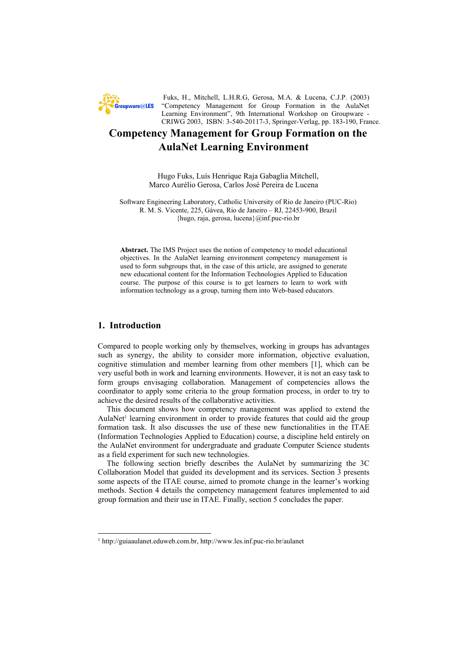

 Fuks, H., Mitchell, L.H.R.G, Gerosa, M.A. & Lucena, C.J.P. (2003) "Competency Management for Group Formation in the AulaNet Learning Environment", 9th International Workshop on Groupware - CRIWG 2003, ISBN: 3-540-20117-3, Springer-Verlag, pp. 183-190, France.

# **Competency Management for Group Formation on the AulaNet Learning Environment**

Hugo Fuks, Luís Henrique Raja Gabaglia Mitchell, Marco Aurélio Gerosa, Carlos José Pereira de Lucena

Software Engineering Laboratory, Catholic University of Rio de Janeiro (PUC-Rio) R. M. S. Vicente, 225, Gávea, Rio de Janeiro – RJ, 22453-900, Brazil {hugo, raja, gerosa, lucena}@inf.puc-rio.br

**Abstract.** The IMS Project uses the notion of competency to model educational objectives. In the AulaNet learning environment competency management is used to form subgroups that, in the case of this article, are assigned to generate new educational content for the Information Technologies Applied to Education course. The purpose of this course is to get learners to learn to work with information technology as a group, turning them into Web-based educators.

## **1. Introduction**

l

Compared to people working only by themselves, working in groups has advantages such as synergy, the ability to consider more information, objective evaluation, cognitive stimulation and member learning from other members [1], which can be very useful both in work and learning environments. However, it is not an easy task to form groups envisaging collaboration. Management of competencies allows the coordinator to apply some criteria to the group formation process, in order to try to achieve the desired results of the collaborative activities.

This document shows how competency management was applied to extend the AulaNet<sup>1</sup> learning environment in order to provide features that could aid the group formation task. It also discusses the use of these new functionalities in the ITAE (Information Technologies Applied to Education) course, a discipline held entirely on the AulaNet environment for undergraduate and graduate Computer Science students as a field experiment for such new technologies.

The following section briefly describes the AulaNet by summarizing the 3C Collaboration Model that guided its development and its services. Section 3 presents some aspects of the ITAE course, aimed to promote change in the learner's working methods. Section 4 details the competency management features implemented to aid group formation and their use in ITAE. Finally, section 5 concludes the paper.

<sup>1</sup> http://guiaaulanet.eduweb.com.br, http://www.les.inf.puc-rio.br/aulanet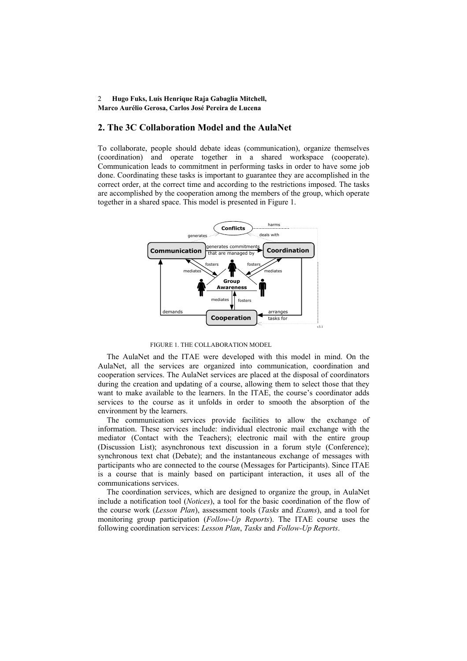2 **Hugo Fuks, Luís Henrique Raja Gabaglia Mitchell, Marco Aurélio Gerosa, Carlos José Pereira de Lucena**

# **2. The 3C Collaboration Model and the AulaNet**

To collaborate, people should debate ideas (communication), organize themselves (coordination) and operate together in a shared workspace (cooperate). Communication leads to commitment in performing tasks in order to have some job done. Coordinating these tasks is important to guarantee they are accomplished in the correct order, at the correct time and according to the restrictions imposed. The tasks are accomplished by the cooperation among the members of the group, which operate together in a shared space. This model is presented in Figure 1.



FIGURE 1. THE COLLABORATION MODEL

The AulaNet and the ITAE were developed with this model in mind. On the AulaNet, all the services are organized into communication, coordination and cooperation services. The AulaNet services are placed at the disposal of coordinators during the creation and updating of a course, allowing them to select those that they want to make available to the learners. In the ITAE, the course's coordinator adds services to the course as it unfolds in order to smooth the absorption of the environment by the learners.

The communication services provide facilities to allow the exchange of information. These services include: individual electronic mail exchange with the mediator (Contact with the Teachers); electronic mail with the entire group (Discussion List); asynchronous text discussion in a forum style (Conference); synchronous text chat (Debate); and the instantaneous exchange of messages with participants who are connected to the course (Messages for Participants). Since ITAE is a course that is mainly based on participant interaction, it uses all of the communications services.

The coordination services, which are designed to organize the group, in AulaNet include a notification tool (*Notices*), a tool for the basic coordination of the flow of the course work (*Lesson Plan*), assessment tools (*Tasks* and *Exams*), and a tool for monitoring group participation (*Follow-Up Reports*). The ITAE course uses the following coordination services: *Lesson Plan*, *Tasks* and *Follow-Up Reports*.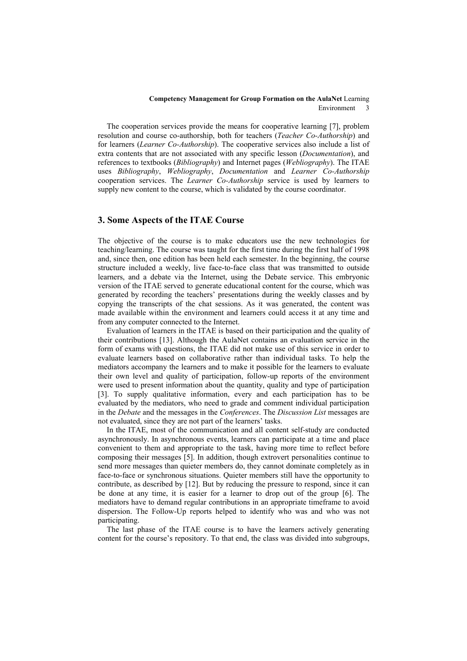#### **Competency Management for Group Formation on the AulaNet** Learning Environment

The cooperation services provide the means for cooperative learning [7], problem resolution and course co-authorship, both for teachers (*Teacher Co-Authorship*) and for learners (*Learner Co-Authorship*). The cooperative services also include a list of extra contents that are not associated with any specific lesson (*Documentation*), and references to textbooks (*Bibliography*) and Internet pages (*Webliography*). The ITAE uses *Bibliography*, *Webliography*, *Documentation* and *Learner Co-Authorship* cooperation services. The *Learner Co-Authorship* service is used by learners to supply new content to the course, which is validated by the course coordinator.

## **3. Some Aspects of the ITAE Course**

The objective of the course is to make educators use the new technologies for teaching/learning. The course was taught for the first time during the first half of 1998 and, since then, one edition has been held each semester. In the beginning, the course structure included a weekly, live face-to-face class that was transmitted to outside learners, and a debate via the Internet, using the Debate service. This embryonic version of the ITAE served to generate educational content for the course, which was generated by recording the teachers' presentations during the weekly classes and by copying the transcripts of the chat sessions. As it was generated, the content was made available within the environment and learners could access it at any time and from any computer connected to the Internet.

Evaluation of learners in the ITAE is based on their participation and the quality of their contributions [13]. Although the AulaNet contains an evaluation service in the form of exams with questions, the ITAE did not make use of this service in order to evaluate learners based on collaborative rather than individual tasks. To help the mediators accompany the learners and to make it possible for the learners to evaluate their own level and quality of participation, follow-up reports of the environment were used to present information about the quantity, quality and type of participation [3]. To supply qualitative information, every and each participation has to be evaluated by the mediators, who need to grade and comment individual participation in the *Debate* and the messages in the *Conferences*. The *Discussion List* messages are not evaluated, since they are not part of the learners' tasks.

In the ITAE, most of the communication and all content self-study are conducted asynchronously. In asynchronous events, learners can participate at a time and place convenient to them and appropriate to the task, having more time to reflect before composing their messages [5]. In addition, though extrovert personalities continue to send more messages than quieter members do, they cannot dominate completely as in face-to-face or synchronous situations. Quieter members still have the opportunity to contribute, as described by [12]. But by reducing the pressure to respond, since it can be done at any time, it is easier for a learner to drop out of the group [6]. The mediators have to demand regular contributions in an appropriate timeframe to avoid dispersion. The Follow-Up reports helped to identify who was and who was not participating.

The last phase of the ITAE course is to have the learners actively generating content for the course's repository. To that end, the class was divided into subgroups,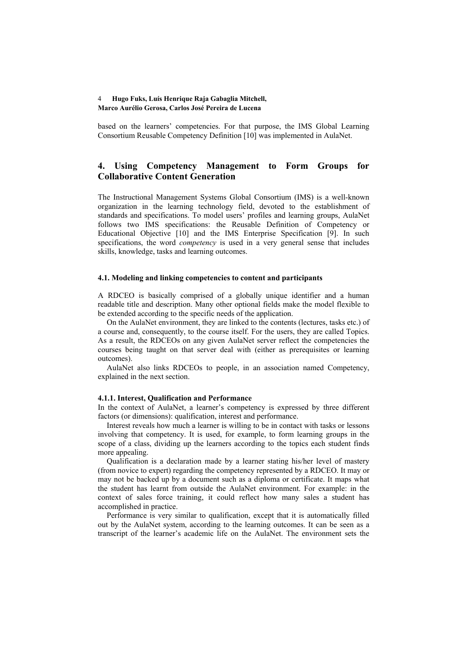#### 4 **Hugo Fuks, Luís Henrique Raja Gabaglia Mitchell, Marco Aurélio Gerosa, Carlos José Pereira de Lucena**

based on the learners' competencies. For that purpose, the IMS Global Learning Consortium Reusable Competency Definition [10] was implemented in AulaNet.

# **4. Using Competency Management to Form Groups for Collaborative Content Generation**

The Instructional Management Systems Global Consortium (IMS) is a well-known organization in the learning technology field, devoted to the establishment of standards and specifications. To model users' profiles and learning groups, AulaNet follows two IMS specifications: the Reusable Definition of Competency or Educational Objective [10] and the IMS Enterprise Specification [9]. In such specifications, the word *competency* is used in a very general sense that includes skills, knowledge, tasks and learning outcomes.

#### **4.1. Modeling and linking competencies to content and participants**

A RDCEO is basically comprised of a globally unique identifier and a human readable title and description. Many other optional fields make the model flexible to be extended according to the specific needs of the application.

On the AulaNet environment, they are linked to the contents (lectures, tasks etc.) of a course and, consequently, to the course itself. For the users, they are called Topics. As a result, the RDCEOs on any given AulaNet server reflect the competencies the courses being taught on that server deal with (either as prerequisites or learning outcomes).

AulaNet also links RDCEOs to people, in an association named Competency, explained in the next section.

#### **4.1.1. Interest, Qualification and Performance**

In the context of AulaNet, a learner's competency is expressed by three different factors (or dimensions): qualification, interest and performance.

Interest reveals how much a learner is willing to be in contact with tasks or lessons involving that competency. It is used, for example, to form learning groups in the scope of a class, dividing up the learners according to the topics each student finds more appealing.

Qualification is a declaration made by a learner stating his/her level of mastery (from novice to expert) regarding the competency represented by a RDCEO. It may or may not be backed up by a document such as a diploma or certificate. It maps what the student has learnt from outside the AulaNet environment. For example: in the context of sales force training, it could reflect how many sales a student has accomplished in practice.

Performance is very similar to qualification, except that it is automatically filled out by the AulaNet system, according to the learning outcomes. It can be seen as a transcript of the learner's academic life on the AulaNet. The environment sets the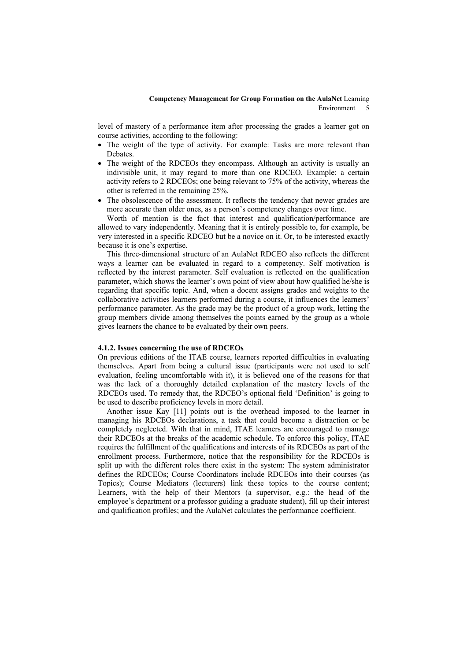level of mastery of a performance item after processing the grades a learner got on course activities, according to the following:

- The weight of the type of activity. For example: Tasks are more relevant than Debates.
- The weight of the RDCEOs they encompass. Although an activity is usually an indivisible unit, it may regard to more than one RDCEO. Example: a certain activity refers to 2 RDCEOs; one being relevant to 75% of the activity, whereas the other is referred in the remaining 25%.
- The obsolescence of the assessment. It reflects the tendency that newer grades are more accurate than older ones, as a person's competency changes over time.

Worth of mention is the fact that interest and qualification/performance are allowed to vary independently. Meaning that it is entirely possible to, for example, be very interested in a specific RDCEO but be a novice on it. Or, to be interested exactly because it is one's expertise.

This three-dimensional structure of an AulaNet RDCEO also reflects the different ways a learner can be evaluated in regard to a competency. Self motivation is reflected by the interest parameter. Self evaluation is reflected on the qualification parameter, which shows the learner's own point of view about how qualified he/she is regarding that specific topic. And, when a docent assigns grades and weights to the collaborative activities learners performed during a course, it influences the learners' performance parameter. As the grade may be the product of a group work, letting the group members divide among themselves the points earned by the group as a whole gives learners the chance to be evaluated by their own peers.

#### **4.1.2. Issues concerning the use of RDCEOs**

On previous editions of the ITAE course, learners reported difficulties in evaluating themselves. Apart from being a cultural issue (participants were not used to self evaluation, feeling uncomfortable with it), it is believed one of the reasons for that was the lack of a thoroughly detailed explanation of the mastery levels of the RDCEOs used. To remedy that, the RDCEO's optional field 'Definition' is going to be used to describe proficiency levels in more detail.

Another issue Kay [11] points out is the overhead imposed to the learner in managing his RDCEOs declarations, a task that could become a distraction or be completely neglected. With that in mind, ITAE learners are encouraged to manage their RDCEOs at the breaks of the academic schedule. To enforce this policy, ITAE requires the fulfillment of the qualifications and interests of its RDCEOs as part of the enrollment process. Furthermore, notice that the responsibility for the RDCEOs is split up with the different roles there exist in the system: The system administrator defines the RDCEOs; Course Coordinators include RDCEOs into their courses (as Topics); Course Mediators (lecturers) link these topics to the course content; Learners, with the help of their Mentors (a supervisor, e.g.: the head of the employee's department or a professor guiding a graduate student), fill up their interest and qualification profiles; and the AulaNet calculates the performance coefficient.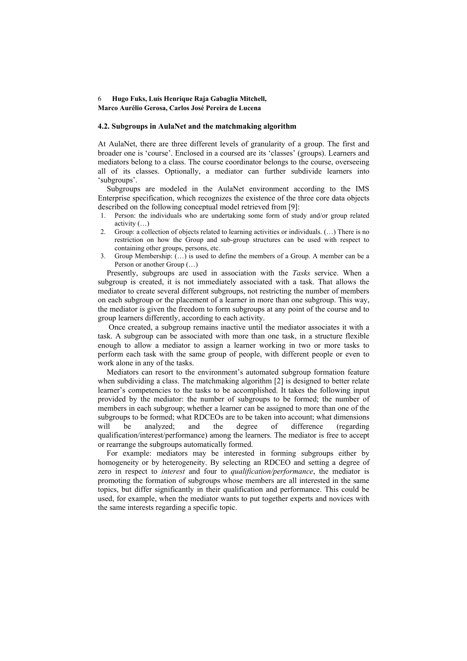6 **Hugo Fuks, Luís Henrique Raja Gabaglia Mitchell,** 

**Marco Aurélio Gerosa, Carlos José Pereira de Lucena**

## **4.2. Subgroups in AulaNet and the matchmaking algorithm**

At AulaNet, there are three different levels of granularity of a group. The first and broader one is 'course'. Enclosed in a coursed are its 'classes' (groups). Learners and mediators belong to a class. The course coordinator belongs to the course, overseeing all of its classes. Optionally, a mediator can further subdivide learners into 'subgroups'.

Subgroups are modeled in the AulaNet environment according to the IMS Enterprise specification, which recognizes the existence of the three core data objects described on the following conceptual model retrieved from [9]:

- 1. Person: the individuals who are undertaking some form of study and/or group related activity  $(\ldots)$
- 2. Group: a collection of objects related to learning activities or individuals. (…) There is no restriction on how the Group and sub-group structures can be used with respect to containing other groups, persons, etc.
- 3. Group Membership: (…) is used to define the members of a Group. A member can be a Person or another Group (…)

Presently, subgroups are used in association with the *Tasks* service. When a subgroup is created, it is not immediately associated with a task. That allows the mediator to create several different subgroups, not restricting the number of members on each subgroup or the placement of a learner in more than one subgroup. This way, the mediator is given the freedom to form subgroups at any point of the course and to group learners differently, according to each activity.

 Once created, a subgroup remains inactive until the mediator associates it with a task. A subgroup can be associated with more than one task, in a structure flexible enough to allow a mediator to assign a learner working in two or more tasks to perform each task with the same group of people, with different people or even to work alone in any of the tasks.

Mediators can resort to the environment's automated subgroup formation feature when subdividing a class. The matchmaking algorithm [2] is designed to better relate learner's competencies to the tasks to be accomplished. It takes the following input provided by the mediator: the number of subgroups to be formed; the number of members in each subgroup; whether a learner can be assigned to more than one of the subgroups to be formed; what RDCEOs are to be taken into account; what dimensions will be analyzed; and the degree of difference (regarding qualification/interest/performance) among the learners. The mediator is free to accept or rearrange the subgroups automatically formed.

For example: mediators may be interested in forming subgroups either by homogeneity or by heterogeneity. By selecting an RDCEO and setting a degree of zero in respect to *interest* and four to *qualification/performance*, the mediator is promoting the formation of subgroups whose members are all interested in the same topics, but differ significantly in their qualification and performance. This could be used, for example, when the mediator wants to put together experts and novices with the same interests regarding a specific topic.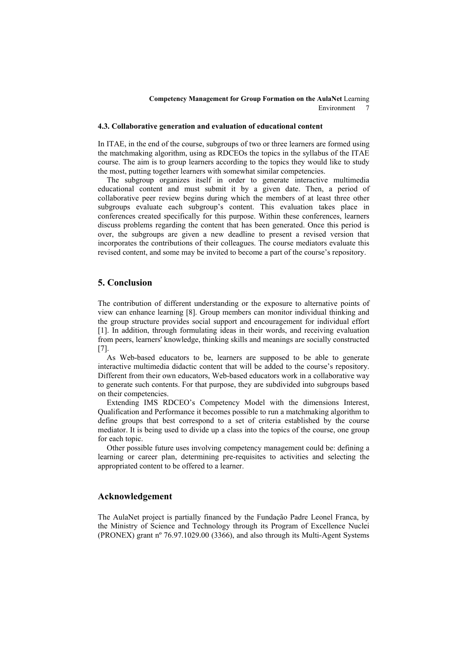#### **Competency Management for Group Formation on the AulaNet** Learning Environment

#### **4.3. Collaborative generation and evaluation of educational content**

In ITAE, in the end of the course, subgroups of two or three learners are formed using the matchmaking algorithm, using as RDCEOs the topics in the syllabus of the ITAE course. The aim is to group learners according to the topics they would like to study the most, putting together learners with somewhat similar competencies.

The subgroup organizes itself in order to generate interactive multimedia educational content and must submit it by a given date. Then, a period of collaborative peer review begins during which the members of at least three other subgroups evaluate each subgroup's content. This evaluation takes place in conferences created specifically for this purpose. Within these conferences, learners discuss problems regarding the content that has been generated. Once this period is over, the subgroups are given a new deadline to present a revised version that incorporates the contributions of their colleagues. The course mediators evaluate this revised content, and some may be invited to become a part of the course's repository.

# **5. Conclusion**

The contribution of different understanding or the exposure to alternative points of view can enhance learning [8]. Group members can monitor individual thinking and the group structure provides social support and encouragement for individual effort [1]. In addition, through formulating ideas in their words, and receiving evaluation from peers, learners' knowledge, thinking skills and meanings are socially constructed [7].

As Web-based educators to be, learners are supposed to be able to generate interactive multimedia didactic content that will be added to the course's repository. Different from their own educators, Web-based educators work in a collaborative way to generate such contents. For that purpose, they are subdivided into subgroups based on their competencies.

Extending IMS RDCEO's Competency Model with the dimensions Interest, Qualification and Performance it becomes possible to run a matchmaking algorithm to define groups that best correspond to a set of criteria established by the course mediator. It is being used to divide up a class into the topics of the course, one group for each topic.

Other possible future uses involving competency management could be: defining a learning or career plan, determining pre-requisites to activities and selecting the appropriated content to be offered to a learner.

# **Acknowledgement**

The AulaNet project is partially financed by the Fundação Padre Leonel Franca, by the Ministry of Science and Technology through its Program of Excellence Nuclei (PRONEX) grant nº 76.97.1029.00 (3366), and also through its Multi-Agent Systems